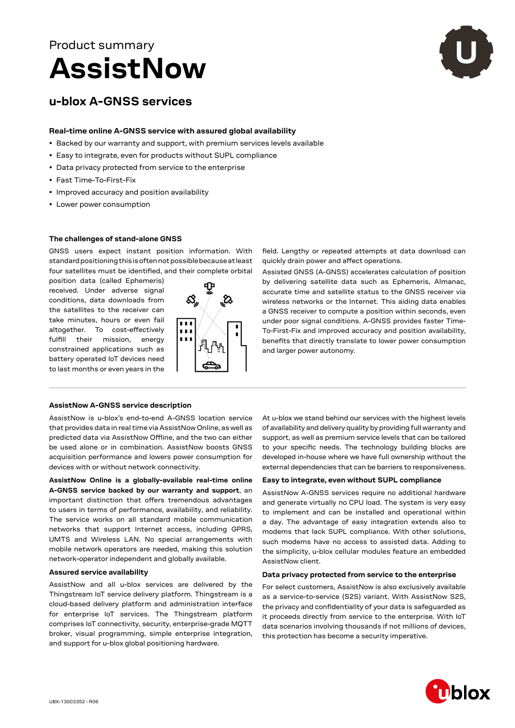

# **u-blox A-GNSS services**

## **Real-time online A-GNSS service with assured global availability**

- Backed by our warranty and support, with premium services levels available
- Easy to integrate, even for products without SUPL compliance
- Data privacy protected from service to the enterprise
- Fast Time-To-First-Fix
- Improved accuracy and position availability
- Lower power consumption

## **The challenges of stand-alone GNSS**

GNSS users expect instant position information. With standard positioning this is often not possible because at least four satellites must be identified, and their complete orbital

position data (called Ephemeris) received. Under adverse signal conditions, data downloads from the satellites to the receiver can take minutes, hours or even fail altogether. To cost-effectively fulfill their mission, energy constrained applications such as battery operated IoT devices need to last months or even years in the



field. Lengthy or repeated attempts at data download can quickly drain power and affect operations.

Assisted GNSS (A‑GNSS) accelerates calculation of position by delivering satellite data such as Ephemeris, Almanac, accurate time and satellite status to the GNSS receiver via wireless networks or the Internet. This aiding data enables a GNSS receiver to compute a position within seconds, even under poor signal conditions. A-GNSS provides faster Time-To-First-Fix and improved accuracy and position availability, benefits that directly translate to lower power consumption and larger power autonomy.

## **AssistNow A-GNSS service description**

AssistNow is u-blox's end-to-end A-GNSS location service that provides data in real time via AssistNow Online, as well as predicted data via AssistNow Offline, and the two can either be used alone or in combination. AssistNow boosts GNSS acquisition performance and lowers power consumption for devices with or without network connectivity.

**AssistNow Online is a globally-available real-time online A-GNSS service backed by our warranty and support**, an important distinction that offers tremendous advantages to users in terms of performance, availability, and reliability. The service works on all standard mobile communication networks that support Internet access, including GPRS, UMTS and Wireless LAN. No special arrangements with mobile network operators are needed, making this solution network-operator independent and globally available.

## **Assured service availability**

AssistNow and all u-blox services are delivered by the Thingstream IoT service delivery platform. Thingstream is a cloud-based delivery platform and administration interface for enterprise IoT services. The Thingstream platform comprises IoT connectivity, security, enterprise-grade MQTT broker, visual programming, simple enterprise integration, and support for u-blox global positioning hardware.

At u-blox we stand behind our services with the highest levels of availability and delivery quality by providing full warranty and support, as well as premium service levels that can be tailored to your specific needs. The technology building blocks are developed in-house where we have full ownership without the external dependencies that can be barriers to responsiveness.

# **Easy to integrate, even without SUPL compliance**

AssistNow A‑GNSS services require no additional hardware and generate virtually no CPU load. The system is very easy to implement and can be installed and operational within a day. The advantage of easy integration extends also to modems that lack SUPL compliance. With other solutions, such modems have no access to assisted data. Adding to the simplicity, u-blox cellular modules feature an embedded AssistNow client.

## **Data privacy protected from service to the enterprise**

For select customers, AssistNow is also exclusively available as a service-to-service (S2S) variant. With AssistNow S2S, the privacy and confidentiality of your data is safeguarded as it proceeds directly from service to the enterprise. With IoT data scenarios involving thousands if not millions of devices, this protection has become a security imperative.